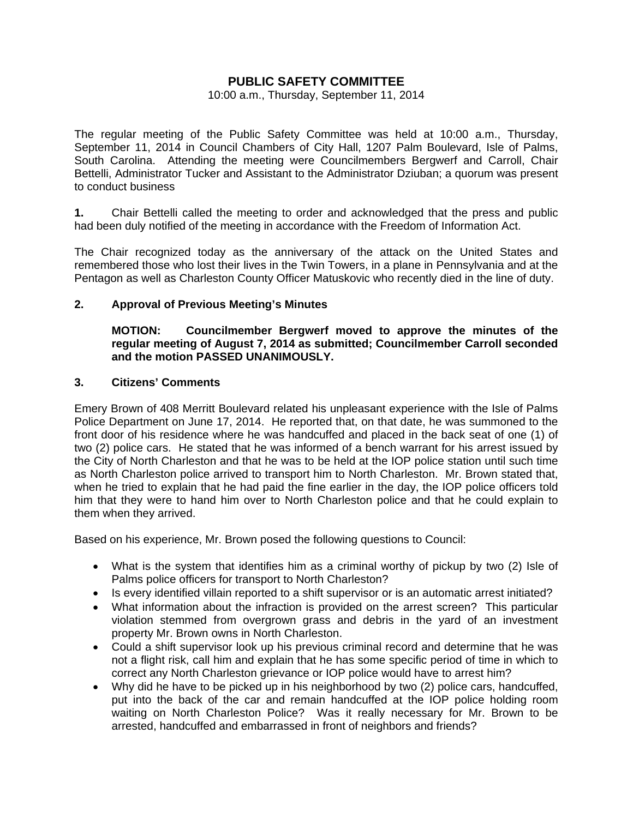# **PUBLIC SAFETY COMMITTEE**

#### 10:00 a.m., Thursday, September 11, 2014

The regular meeting of the Public Safety Committee was held at 10:00 a.m., Thursday, September 11, 2014 in Council Chambers of City Hall, 1207 Palm Boulevard, Isle of Palms, South Carolina. Attending the meeting were Councilmembers Bergwerf and Carroll, Chair Bettelli, Administrator Tucker and Assistant to the Administrator Dziuban; a quorum was present to conduct business

**1.** Chair Bettelli called the meeting to order and acknowledged that the press and public had been duly notified of the meeting in accordance with the Freedom of Information Act.

The Chair recognized today as the anniversary of the attack on the United States and remembered those who lost their lives in the Twin Towers, in a plane in Pennsylvania and at the Pentagon as well as Charleston County Officer Matuskovic who recently died in the line of duty.

### **2. Approval of Previous Meeting's Minutes**

## **MOTION: Councilmember Bergwerf moved to approve the minutes of the regular meeting of August 7, 2014 as submitted; Councilmember Carroll seconded and the motion PASSED UNANIMOUSLY.**

### **3. Citizens' Comments**

Emery Brown of 408 Merritt Boulevard related his unpleasant experience with the Isle of Palms Police Department on June 17, 2014. He reported that, on that date, he was summoned to the front door of his residence where he was handcuffed and placed in the back seat of one (1) of two (2) police cars. He stated that he was informed of a bench warrant for his arrest issued by the City of North Charleston and that he was to be held at the IOP police station until such time as North Charleston police arrived to transport him to North Charleston. Mr. Brown stated that, when he tried to explain that he had paid the fine earlier in the day, the IOP police officers told him that they were to hand him over to North Charleston police and that he could explain to them when they arrived.

Based on his experience, Mr. Brown posed the following questions to Council:

- What is the system that identifies him as a criminal worthy of pickup by two (2) Isle of Palms police officers for transport to North Charleston?
- Is every identified villain reported to a shift supervisor or is an automatic arrest initiated?
- What information about the infraction is provided on the arrest screen? This particular violation stemmed from overgrown grass and debris in the yard of an investment property Mr. Brown owns in North Charleston.
- Could a shift supervisor look up his previous criminal record and determine that he was not a flight risk, call him and explain that he has some specific period of time in which to correct any North Charleston grievance or IOP police would have to arrest him?
- Why did he have to be picked up in his neighborhood by two (2) police cars, handcuffed, put into the back of the car and remain handcuffed at the IOP police holding room waiting on North Charleston Police? Was it really necessary for Mr. Brown to be arrested, handcuffed and embarrassed in front of neighbors and friends?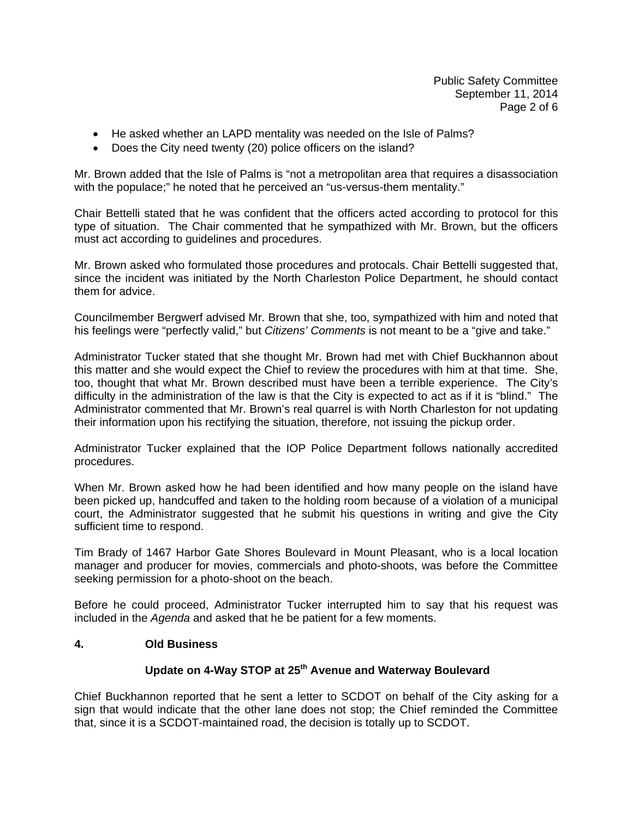- He asked whether an LAPD mentality was needed on the Isle of Palms?
- Does the City need twenty (20) police officers on the island?

Mr. Brown added that the Isle of Palms is "not a metropolitan area that requires a disassociation with the populace;" he noted that he perceived an "us-versus-them mentality."

Chair Bettelli stated that he was confident that the officers acted according to protocol for this type of situation. The Chair commented that he sympathized with Mr. Brown, but the officers must act according to guidelines and procedures.

Mr. Brown asked who formulated those procedures and protocals. Chair Bettelli suggested that, since the incident was initiated by the North Charleston Police Department, he should contact them for advice.

Councilmember Bergwerf advised Mr. Brown that she, too, sympathized with him and noted that his feelings were "perfectly valid," but *Citizens' Comments* is not meant to be a "give and take."

Administrator Tucker stated that she thought Mr. Brown had met with Chief Buckhannon about this matter and she would expect the Chief to review the procedures with him at that time. She, too, thought that what Mr. Brown described must have been a terrible experience. The City's difficulty in the administration of the law is that the City is expected to act as if it is "blind." The Administrator commented that Mr. Brown's real quarrel is with North Charleston for not updating their information upon his rectifying the situation, therefore, not issuing the pickup order.

Administrator Tucker explained that the IOP Police Department follows nationally accredited procedures.

When Mr. Brown asked how he had been identified and how many people on the island have been picked up, handcuffed and taken to the holding room because of a violation of a municipal court, the Administrator suggested that he submit his questions in writing and give the City sufficient time to respond.

Tim Brady of 1467 Harbor Gate Shores Boulevard in Mount Pleasant, who is a local location manager and producer for movies, commercials and photo-shoots, was before the Committee seeking permission for a photo-shoot on the beach.

Before he could proceed, Administrator Tucker interrupted him to say that his request was included in the *Agenda* and asked that he be patient for a few moments.

# **4. Old Business**

# **Update on 4-Way STOP at 25th Avenue and Waterway Boulevard**

Chief Buckhannon reported that he sent a letter to SCDOT on behalf of the City asking for a sign that would indicate that the other lane does not stop; the Chief reminded the Committee that, since it is a SCDOT-maintained road, the decision is totally up to SCDOT.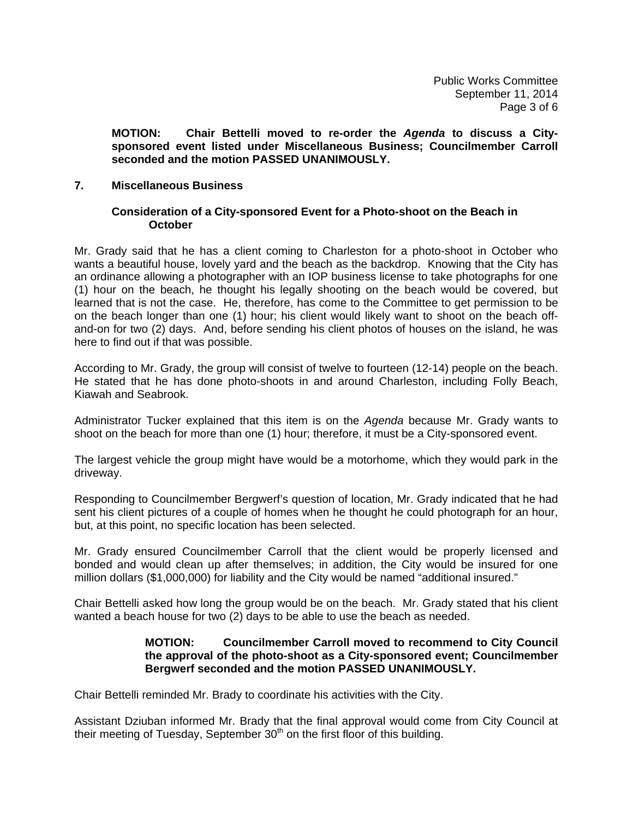**MOTION: Chair Bettelli moved to re-order the** *Agenda* **to discuss a City sponsored event listed under Miscellaneous Business; Councilmember Carroll seconded and the motion PASSED UNANIMOUSLY.** 

## **7. Miscellaneous Business**

## **Consideration of a City-sponsored Event for a Photo-shoot on the Beach in October**

Mr. Grady said that he has a client coming to Charleston for a photo-shoot in October who wants a beautiful house, lovely yard and the beach as the backdrop. Knowing that the City has an ordinance allowing a photographer with an IOP business license to take photographs for one (1) hour on the beach, he thought his legally shooting on the beach would be covered, but learned that is not the case. He, therefore, has come to the Committee to get permission to be on the beach longer than one (1) hour; his client would likely want to shoot on the beach offand-on for two (2) days. And, before sending his client photos of houses on the island, he was here to find out if that was possible.

According to Mr. Grady, the group will consist of twelve to fourteen (12-14) people on the beach. He stated that he has done photo-shoots in and around Charleston, including Folly Beach, Kiawah and Seabrook.

Administrator Tucker explained that this item is on the *Agenda* because Mr. Grady wants to shoot on the beach for more than one (1) hour; therefore, it must be a City-sponsored event.

The largest vehicle the group might have would be a motorhome, which they would park in the driveway.

Responding to Councilmember Bergwerf's question of location, Mr. Grady indicated that he had sent his client pictures of a couple of homes when he thought he could photograph for an hour, but, at this point, no specific location has been selected.

Mr. Grady ensured Councilmember Carroll that the client would be properly licensed and bonded and would clean up after themselves; in addition, the City would be insured for one million dollars (\$1,000,000) for liability and the City would be named "additional insured."

Chair Bettelli asked how long the group would be on the beach. Mr. Grady stated that his client wanted a beach house for two (2) days to be able to use the beach as needed.

# **MOTION: Councilmember Carroll moved to recommend to City Council the approval of the photo-shoot as a City-sponsored event; Councilmember Bergwerf seconded and the motion PASSED UNANIMOUSLY.**

Chair Bettelli reminded Mr. Brady to coordinate his activities with the City.

Assistant Dziuban informed Mr. Brady that the final approval would come from City Council at their meeting of Tuesday, September  $30<sup>th</sup>$  on the first floor of this building.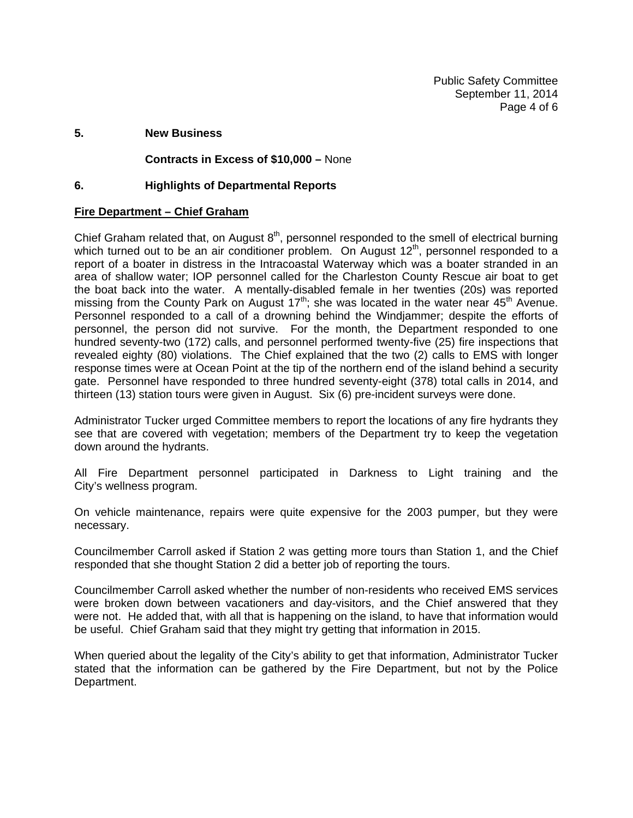Public Safety Committee September 11, 2014 Page 4 of 6

# **5. New Business**

# **Contracts in Excess of \$10,000 –** None

# **6. Highlights of Departmental Reports**

# **Fire Department – Chief Graham**

Chief Graham related that, on August  $8<sup>th</sup>$ , personnel responded to the smell of electrical burning which turned out to be an air conditioner problem. On August  $12<sup>th</sup>$ , personnel responded to a report of a boater in distress in the Intracoastal Waterway which was a boater stranded in an area of shallow water; IOP personnel called for the Charleston County Rescue air boat to get the boat back into the water. A mentally-disabled female in her twenties (20s) was reported missing from the County Park on August  $17<sup>th</sup>$ ; she was located in the water near  $45<sup>th</sup>$  Avenue. Personnel responded to a call of a drowning behind the Windjammer; despite the efforts of personnel, the person did not survive. For the month, the Department responded to one hundred seventy-two (172) calls, and personnel performed twenty-five (25) fire inspections that revealed eighty (80) violations. The Chief explained that the two (2) calls to EMS with longer response times were at Ocean Point at the tip of the northern end of the island behind a security gate. Personnel have responded to three hundred seventy-eight (378) total calls in 2014, and thirteen (13) station tours were given in August. Six (6) pre-incident surveys were done.

Administrator Tucker urged Committee members to report the locations of any fire hydrants they see that are covered with vegetation; members of the Department try to keep the vegetation down around the hydrants.

All Fire Department personnel participated in Darkness to Light training and the City's wellness program.

On vehicle maintenance, repairs were quite expensive for the 2003 pumper, but they were necessary.

Councilmember Carroll asked if Station 2 was getting more tours than Station 1, and the Chief responded that she thought Station 2 did a better job of reporting the tours.

Councilmember Carroll asked whether the number of non-residents who received EMS services were broken down between vacationers and day-visitors, and the Chief answered that they were not. He added that, with all that is happening on the island, to have that information would be useful. Chief Graham said that they might try getting that information in 2015.

When queried about the legality of the City's ability to get that information, Administrator Tucker stated that the information can be gathered by the Fire Department, but not by the Police Department.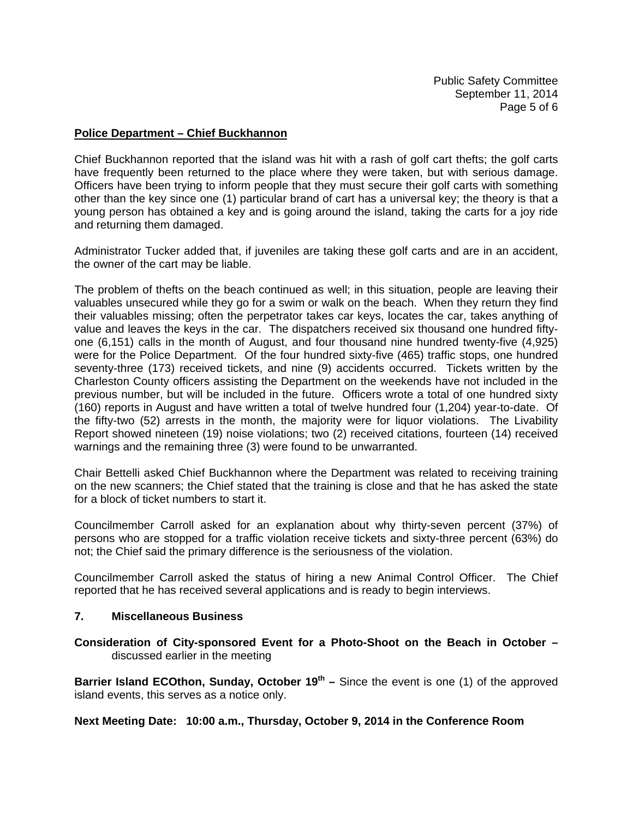# **Police Department – Chief Buckhannon**

Chief Buckhannon reported that the island was hit with a rash of golf cart thefts; the golf carts have frequently been returned to the place where they were taken, but with serious damage. Officers have been trying to inform people that they must secure their golf carts with something other than the key since one (1) particular brand of cart has a universal key; the theory is that a young person has obtained a key and is going around the island, taking the carts for a joy ride and returning them damaged.

Administrator Tucker added that, if juveniles are taking these golf carts and are in an accident, the owner of the cart may be liable.

The problem of thefts on the beach continued as well; in this situation, people are leaving their valuables unsecured while they go for a swim or walk on the beach. When they return they find their valuables missing; often the perpetrator takes car keys, locates the car, takes anything of value and leaves the keys in the car. The dispatchers received six thousand one hundred fiftyone (6,151) calls in the month of August, and four thousand nine hundred twenty-five (4,925) were for the Police Department. Of the four hundred sixty-five (465) traffic stops, one hundred seventy-three (173) received tickets, and nine (9) accidents occurred. Tickets written by the Charleston County officers assisting the Department on the weekends have not included in the previous number, but will be included in the future. Officers wrote a total of one hundred sixty (160) reports in August and have written a total of twelve hundred four (1,204) year-to-date. Of the fifty-two (52) arrests in the month, the majority were for liquor violations. The Livability Report showed nineteen (19) noise violations; two (2) received citations, fourteen (14) received warnings and the remaining three (3) were found to be unwarranted.

Chair Bettelli asked Chief Buckhannon where the Department was related to receiving training on the new scanners; the Chief stated that the training is close and that he has asked the state for a block of ticket numbers to start it.

Councilmember Carroll asked for an explanation about why thirty-seven percent (37%) of persons who are stopped for a traffic violation receive tickets and sixty-three percent (63%) do not; the Chief said the primary difference is the seriousness of the violation.

Councilmember Carroll asked the status of hiring a new Animal Control Officer. The Chief reported that he has received several applications and is ready to begin interviews.

# **7. Miscellaneous Business**

**Consideration of City-sponsored Event for a Photo-Shoot on the Beach in October –**  discussed earlier in the meeting

**Barrier Island ECOthon, Sunday, October 19<sup>th</sup> –** Since the event is one (1) of the approved island events, this serves as a notice only.

### **Next Meeting Date: 10:00 a.m., Thursday, October 9, 2014 in the Conference Room**